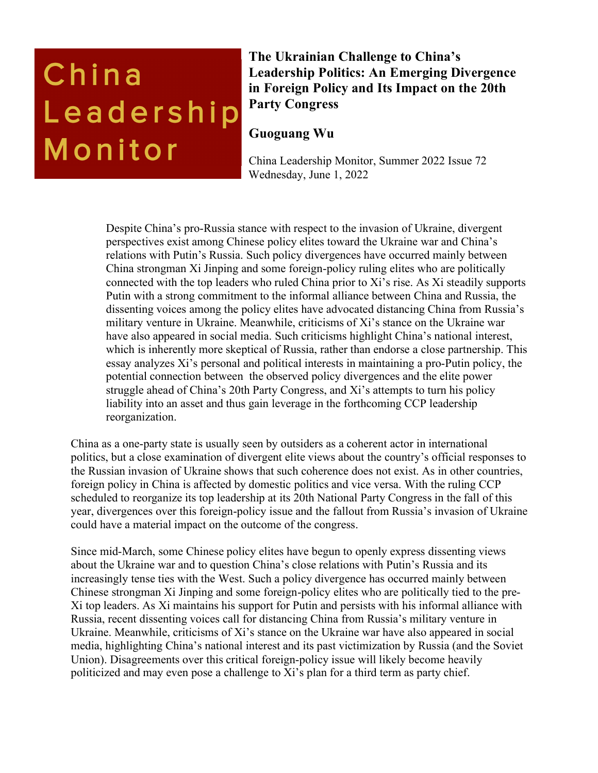# China Leadership Monitor

**The Ukrainian Challenge to China's Leadership Politics: An Emerging Divergence in Foreign Policy and Its Impact on the 20th Party Congress**

# **Guoguang Wu**

China Leadership Monitor, Summer 2022 Issue 72 Wednesday, June 1, 2022

Despite China's pro-Russia stance with respect to the invasion of Ukraine, divergent perspectives exist among Chinese policy elites toward the Ukraine war and China's relations with Putin's Russia. Such policy divergences have occurred mainly between China strongman Xi Jinping and some foreign-policy ruling elites who are politically connected with the top leaders who ruled China prior to Xi's rise. As Xi steadily supports Putin with a strong commitment to the informal alliance between China and Russia, the dissenting voices among the policy elites have advocated distancing China from Russia's military venture in Ukraine. Meanwhile, criticisms of Xi's stance on the Ukraine war have also appeared in social media. Such criticisms highlight China's national interest, which is inherently more skeptical of Russia, rather than endorse a close partnership. This essay analyzes Xi's personal and political interests in maintaining a pro-Putin policy, the potential connection between the observed policy divergences and the elite power struggle ahead of China's 20th Party Congress, and Xi's attempts to turn his policy liability into an asset and thus gain leverage in the forthcoming CCP leadership reorganization.

China as a one-party state is usually seen by outsiders as a coherent actor in international politics, but a close examination of divergent elite views about the country's official responses to the Russian invasion of Ukraine shows that such coherence does not exist. As in other countries, foreign policy in China is affected by domestic politics and vice versa. With the ruling CCP scheduled to reorganize its top leadership at its 20th National Party Congress in the fall of this year, divergences over this foreign-policy issue and the fallout from Russia's invasion of Ukraine could have a material impact on the outcome of the congress.

Since mid-March, some Chinese policy elites have begun to openly express dissenting views about the Ukraine war and to question China's close relations with Putin's Russia and its increasingly tense ties with the West. Such a policy divergence has occurred mainly between Chinese strongman Xi Jinping and some foreign-policy elites who are politically tied to the pre-Xi top leaders. As Xi maintains his support for Putin and persists with his informal alliance with Russia, recent dissenting voices call for distancing China from Russia's military venture in Ukraine. Meanwhile, criticisms of Xi's stance on the Ukraine war have also appeared in social media, highlighting China's national interest and its past victimization by Russia (and the Soviet Union). Disagreements over this critical foreign-policy issue will likely become heavily politicized and may even pose a challenge to Xi's plan for a third term as party chief.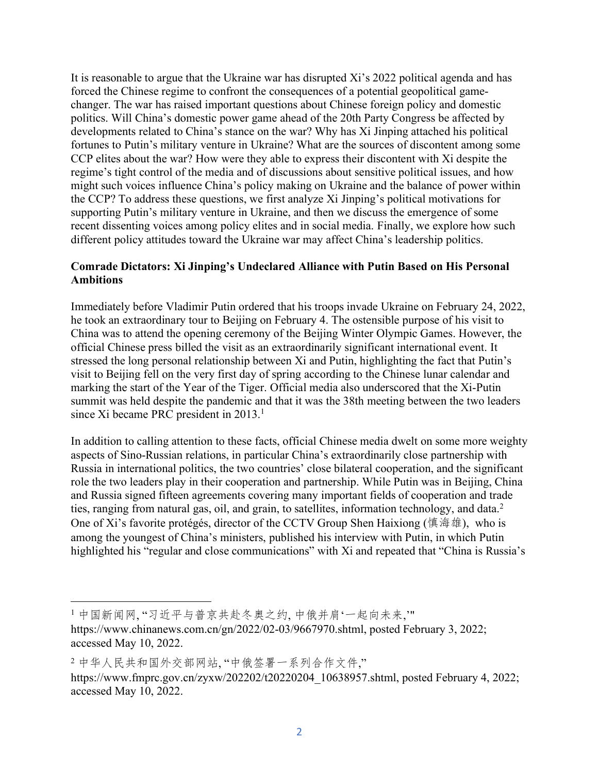It is reasonable to argue that the Ukraine war has disrupted Xi's 2022 political agenda and has forced the Chinese regime to confront the consequences of a potential geopolitical gamechanger. The war has raised important questions about Chinese foreign policy and domestic politics. Will China's domestic power game ahead of the 20th Party Congress be affected by developments related to China's stance on the war? Why has Xi Jinping attached his political fortunes to Putin's military venture in Ukraine? What are the sources of discontent among some CCP elites about the war? How were they able to express their discontent with Xi despite the regime's tight control of the media and of discussions about sensitive political issues, and how might such voices influence China's policy making on Ukraine and the balance of power within the CCP? To address these questions, we first analyze Xi Jinping's political motivations for supporting Putin's military venture in Ukraine, and then we discuss the emergence of some recent dissenting voices among policy elites and in social media. Finally, we explore how such different policy attitudes toward the Ukraine war may affect China's leadership politics.

### **Comrade Dictators: Xi Jinping's Undeclared Alliance with Putin Based on His Personal Ambitions**

Immediately before Vladimir Putin ordered that his troops invade Ukraine on February 24, 2022, he took an extraordinary tour to Beijing on February 4. The ostensible purpose of his visit to China was to attend the opening ceremony of the Beijing Winter Olympic Games. However, the official Chinese press billed the visit as an extraordinarily significant international event. It stressed the long personal relationship between Xi and Putin, highlighting the fact that Putin's visit to Beijing fell on the very first day of spring according to the Chinese lunar calendar and marking the start of the Year of the Tiger. Official media also underscored that the Xi-Putin summit was held despite the pandemic and that it was the 38th meeting between the two leaders since Xi became PRC president in 2013.<sup>1</sup>

In addition to calling attention to these facts, official Chinese media dwelt on some more weighty aspects of Sino-Russian relations, in particular China's extraordinarily close partnership with Russia in international politics, the two countries' close bilateral cooperation, and the significant role the two leaders play in their cooperation and partnership. While Putin was in Beijing, China and Russia signed fifteen agreements covering many important fields of cooperation and trade ties, ranging from natural gas, oil, and grain, to satellites, information technology, and data.<sup>2</sup> One of Xi's favorite protégés, director of the CCTV Group Shen Haixiong ( $(\nparallel \mathcal{H} \mathcal{H})$ , who is among the youngest of China's ministers, published his interview with Putin, in which Putin highlighted his "regular and close communications" with Xi and repeated that "China is Russia's

<sup>1</sup>中国新闻网,"习近平与普京共赴冬奥之约,中俄并肩'一起向未来,"

https://www.chinanews.com.cn/gn/2022/02-03/9667970.shtml, posted February 3, 2022; accessed May 10, 2022.

<sup>2</sup>中华人民共和国外交部网站,"中俄签署一系列合作文件," https://www.fmprc.gov.cn/zyxw/202202/t20220204\_10638957.shtml, posted February 4, 2022; accessed May 10, 2022.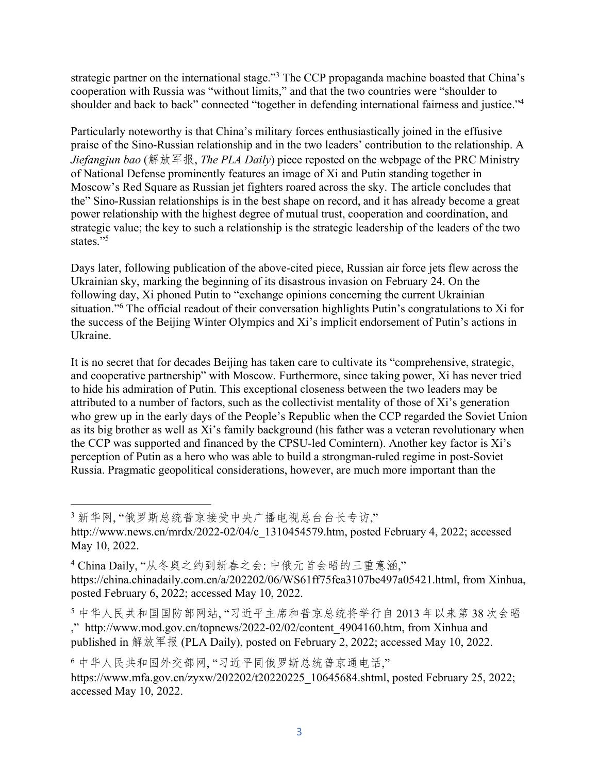strategic partner on the international stage."<sup>3</sup> The CCP propaganda machine boasted that China's cooperation with Russia was "without limits," and that the two countries were "shoulder to shoulder and back to back" connected "together in defending international fairness and justice."<sup>4</sup>

Particularly noteworthy is that China's military forces enthusiastically joined in the effusive praise of the Sino-Russian relationship and in the two leaders' contribution to the relationship. A *Jiefangjun bao* (解放军报, *The PLA Daily*) piece reposted on the webpage of the PRC Ministry of National Defense prominently features an image of Xi and Putin standing together in Moscow's Red Square as Russian jet fighters roared across the sky. The article concludes that the" Sino-Russian relationships is in the best shape on record, and it has already become a great power relationship with the highest degree of mutual trust, cooperation and coordination, and strategic value; the key to such a relationship is the strategic leadership of the leaders of the two states."<sup>5</sup>

Days later, following publication of the above-cited piece, Russian air force jets flew across the Ukrainian sky, marking the beginning of its disastrous invasion on February 24. On the following day, Xi phoned Putin to "exchange opinions concerning the current Ukrainian situation."6 The official readout of their conversation highlights Putin's congratulations to Xi for the success of the Beijing Winter Olympics and Xi's implicit endorsement of Putin's actions in Ukraine.

It is no secret that for decades Beijing has taken care to cultivate its "comprehensive, strategic, and cooperative partnership" with Moscow. Furthermore, since taking power, Xi has never tried to hide his admiration of Putin. This exceptional closeness between the two leaders may be attributed to a number of factors, such as the collectivist mentality of those of Xi's generation who grew up in the early days of the People's Republic when the CCP regarded the Soviet Union as its big brother as well as Xi's family background (his father was a veteran revolutionary when the CCP was supported and financed by the CPSU-led Comintern). Another key factor is Xi's perception of Putin as a hero who was able to build a strongman-ruled regime in post-Soviet Russia. Pragmatic geopolitical considerations, however, are much more important than the

3 新华网,"俄罗斯总统普京接受中央广播电视总台台长专访,"

http://www.news.cn/mrdx/2022-02/04/c\_1310454579.htm, posted February 4, 2022; accessed May 10, 2022.

 $4$  China Daily, "从冬奥之约到新春之会: 中俄元首会晤的三重意涵," https://china.chinadaily.com.cn/a/202202/06/WS61ff75fea3107be497a05421.html, from Xinhua, posted February 6, 2022; accessed May 10, 2022.

5 中华人民共和国国防部网站,"习近平主席和普京总统将举行自2013年以来第38次会晤 ," http://www.mod.gov.cn/topnews/2022-02/02/content\_4904160.htm, from Xinhua and published in 解放军报 (PLA Daily), posted on February 2, 2022; accessed May 10, 2022.

6中华人民共和国外交部网, "习近平同俄罗斯总统普京通电话,"

https://www.mfa.gov.cn/zyxw/202202/t20220225\_10645684.shtml, posted February 25, 2022; accessed May 10, 2022.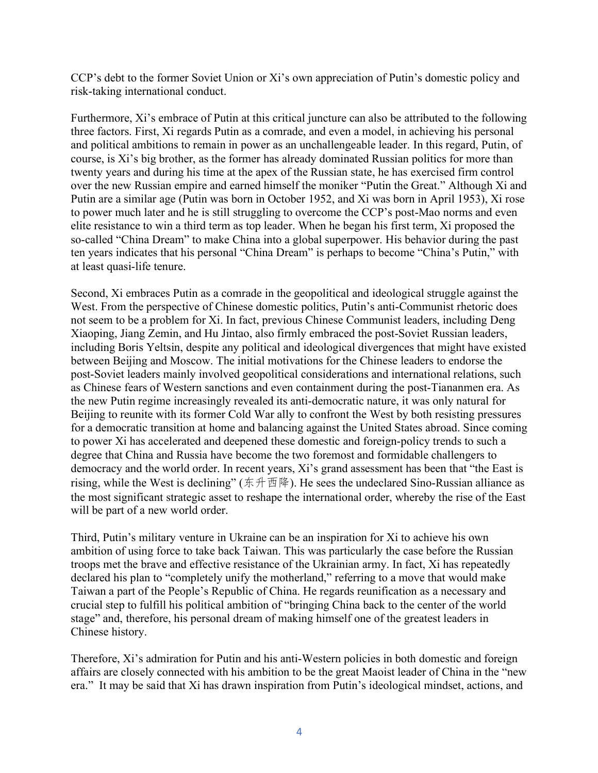CCP's debt to the former Soviet Union or Xi's own appreciation of Putin's domestic policy and risk-taking international conduct.

Furthermore, Xi's embrace of Putin at this critical juncture can also be attributed to the following three factors. First, Xi regards Putin as a comrade, and even a model, in achieving his personal and political ambitions to remain in power as an unchallengeable leader. In this regard, Putin, of course, is Xi's big brother, as the former has already dominated Russian politics for more than twenty years and during his time at the apex of the Russian state, he has exercised firm control over the new Russian empire and earned himself the moniker "Putin the Great." Although Xi and Putin are a similar age (Putin was born in October 1952, and Xi was born in April 1953), Xi rose to power much later and he is still struggling to overcome the CCP's post-Mao norms and even elite resistance to win a third term as top leader. When he began his first term, Xi proposed the so-called "China Dream" to make China into a global superpower. His behavior during the past ten years indicates that his personal "China Dream" is perhaps to become "China's Putin," with at least quasi-life tenure.

Second, Xi embraces Putin as a comrade in the geopolitical and ideological struggle against the West. From the perspective of Chinese domestic politics, Putin's anti-Communist rhetoric does not seem to be a problem for Xi. In fact, previous Chinese Communist leaders, including Deng Xiaoping, Jiang Zemin, and Hu Jintao, also firmly embraced the post-Soviet Russian leaders, including Boris Yeltsin, despite any political and ideological divergences that might have existed between Beijing and Moscow. The initial motivations for the Chinese leaders to endorse the post-Soviet leaders mainly involved geopolitical considerations and international relations, such as Chinese fears of Western sanctions and even containment during the post-Tiananmen era. As the new Putin regime increasingly revealed its anti-democratic nature, it was only natural for Beijing to reunite with its former Cold War ally to confront the West by both resisting pressures for a democratic transition at home and balancing against the United States abroad. Since coming to power Xi has accelerated and deepened these domestic and foreign-policy trends to such a degree that China and Russia have become the two foremost and formidable challengers to democracy and the world order. In recent years, Xi's grand assessment has been that "the East is rising, while the West is declining" ( $\#\#\mathbb{B}$ ). He sees the undeclared Sino-Russian alliance as the most significant strategic asset to reshape the international order, whereby the rise of the East will be part of a new world order.

Third, Putin's military venture in Ukraine can be an inspiration for Xi to achieve his own ambition of using force to take back Taiwan. This was particularly the case before the Russian troops met the brave and effective resistance of the Ukrainian army. In fact, Xi has repeatedly declared his plan to "completely unify the motherland," referring to a move that would make Taiwan a part of the People's Republic of China. He regards reunification as a necessary and crucial step to fulfill his political ambition of "bringing China back to the center of the world stage" and, therefore, his personal dream of making himself one of the greatest leaders in Chinese history.

Therefore, Xi's admiration for Putin and his anti-Western policies in both domestic and foreign affairs are closely connected with his ambition to be the great Maoist leader of China in the "new era." It may be said that Xi has drawn inspiration from Putin's ideological mindset, actions, and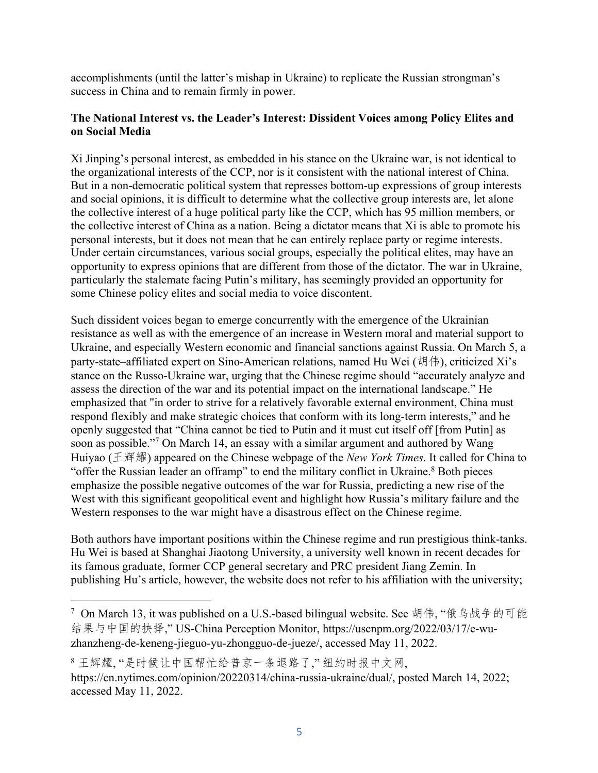accomplishments (until the latter's mishap in Ukraine) to replicate the Russian strongman's success in China and to remain firmly in power.

#### **The National Interest vs. the Leader's Interest: Dissident Voices among Policy Elites and on Social Media**

Xi Jinping's personal interest, as embedded in his stance on the Ukraine war, is not identical to the organizational interests of the CCP, nor is it consistent with the national interest of China. But in a non-democratic political system that represses bottom-up expressions of group interests and social opinions, it is difficult to determine what the collective group interests are, let alone the collective interest of a huge political party like the CCP, which has 95 million members, or the collective interest of China as a nation. Being a dictator means that Xi is able to promote his personal interests, but it does not mean that he can entirely replace party or regime interests. Under certain circumstances, various social groups, especially the political elites, may have an opportunity to express opinions that are different from those of the dictator. The war in Ukraine, particularly the stalemate facing Putin's military, has seemingly provided an opportunity for some Chinese policy elites and social media to voice discontent.

Such dissident voices began to emerge concurrently with the emergence of the Ukrainian resistance as well as with the emergence of an increase in Western moral and material support to Ukraine, and especially Western economic and financial sanctions against Russia. On March 5, a party-state–affiliated expert on Sino-American relations, named Hu Wei (胡伟), criticized Xi's stance on the Russo-Ukraine war, urging that the Chinese regime should "accurately analyze and assess the direction of the war and its potential impact on the international landscape." He emphasized that "in order to strive for a relatively favorable external environment, China must respond flexibly and make strategic choices that conform with its long-term interests," and he openly suggested that "China cannot be tied to Putin and it must cut itself off [from Putin] as soon as possible."7 On March 14, an essay with a similar argument and authored by Wang Huiyao (ÄÅÇ) appeared on the Chinese webpage of the *New York Times*. It called for China to "offer the Russian leader an offramp" to end the military conflict in Ukraine.<sup>8</sup> Both pieces emphasize the possible negative outcomes of the war for Russia, predicting a new rise of the West with this significant geopolitical event and highlight how Russia's military failure and the Western responses to the war might have a disastrous effect on the Chinese regime.

Both authors have important positions within the Chinese regime and run prestigious think-tanks. Hu Wei is based at Shanghai Jiaotong University, a university well known in recent decades for its famous graduate, former CCP general secretary and PRC president Jiang Zemin. In publishing Hu's article, however, the website does not refer to his affiliation with the university;

<sup>&</sup>lt;sup>7</sup> On March 13, it was published on a U.S.-based bilingual website. See 胡伟, "俄乌战争的可能 结果与中国的抉择," US-China Perception Monitor, https://uscnpm.org/2022/03/17/e-wuzhanzheng-de-keneng-jieguo-yu-zhongguo-de-jueze/, accessed May 11, 2022.

<sup>8</sup>王辉耀, "是时候让中国帮忙给普京一条退路了," 纽约时报中文网, https://cn.nytimes.com/opinion/20220314/china-russia-ukraine/dual/, posted March 14, 2022; accessed May 11, 2022.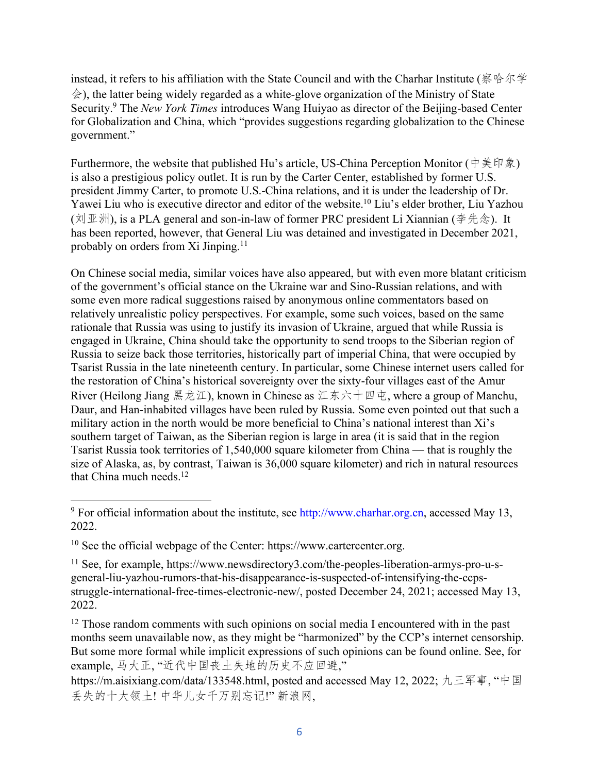instead, it refers to his affiliation with the State Council and with the Charhar Institute (察哈尔学  $\hat{\otimes}$ ), the latter being widely regarded as a white-glove organization of the Ministry of State Security.9 The *New York Times* introduces Wang Huiyao as director of the Beijing-based Center for Globalization and China, which "provides suggestions regarding globalization to the Chinese government."

Furthermore, the website that published Hu's article, US-China Perception Monitor ( $\psi \neq \psi$ ) is also a prestigious policy outlet. It is run by the Carter Center, established by former U.S. president Jimmy Carter, to promote U.S.-China relations, and it is under the leadership of Dr. Yawei Liu who is executive director and editor of the website.<sup>10</sup> Liu's elder brother, Liu Yazhou ( $\overline{X}$ ) ( $\overline{X}$ ), is a PLA general and son-in-law of former PRC president Li Xiannian ( $\overline{\Phi}$   $\overline{\triangle}$ ). It has been reported, however, that General Liu was detained and investigated in December 2021, probably on orders from Xi Jinping.<sup>11</sup>

On Chinese social media, similar voices have also appeared, but with even more blatant criticism of the government's official stance on the Ukraine war and Sino-Russian relations, and with some even more radical suggestions raised by anonymous online commentators based on relatively unrealistic policy perspectives. For example, some such voices, based on the same rationale that Russia was using to justify its invasion of Ukraine, argued that while Russia is engaged in Ukraine, China should take the opportunity to send troops to the Siberian region of Russia to seize back those territories, historically part of imperial China, that were occupied by Tsarist Russia in the late nineteenth century. In particular, some Chinese internet users called for the restoration of China's historical sovereignty over the sixty-four villages east of the Amur River (Heilong Jiang  $\mathbb{R}\&\mathbb{Z}$ ), known in Chinese as  $\mathbb{Z}\&\mathbb{R}\rightarrow\mathbb{Z}$ , where a group of Manchu, Daur, and Han-inhabited villages have been ruled by Russia. Some even pointed out that such a military action in the north would be more beneficial to China's national interest than Xi's southern target of Taiwan, as the Siberian region is large in area (it is said that in the region Tsarist Russia took territories of 1,540,000 square kilometer from China — that is roughly the size of Alaska, as, by contrast, Taiwan is 36,000 square kilometer) and rich in natural resources that China much needs.<sup>12</sup>

 $9\,\text{For official information about the institute, see <http://www.charhar.org.cn>, accessed May 13,$ 2022.

 $10$  See the official webpage of the Center: https://www.cartercenter.org.

<sup>11</sup> See, for example, https://www.newsdirectory3.com/the-peoples-liberation-armys-pro-u-sgeneral-liu-yazhou-rumors-that-his-disappearance-is-suspected-of-intensifying-the-ccpsstruggle-international-free-times-electronic-new/, posted December 24, 2021; accessed May 13, 2022.

<sup>&</sup>lt;sup>12</sup> Those random comments with such opinions on social media I encountered with in the past months seem unavailable now, as they might be "harmonized" by the CCP's internet censorship. But some more formal while implicit expressions of such opinions can be found online. See, for example, 马大正, "近代中国丧土失地的历史不应回避,"

https://m.aisixiang.com/data/133548.html, posted and accessed May 12, 2022; 九三军事. "中国 丢失的十大领土! 中华儿女千万别忘记!" 新浪网,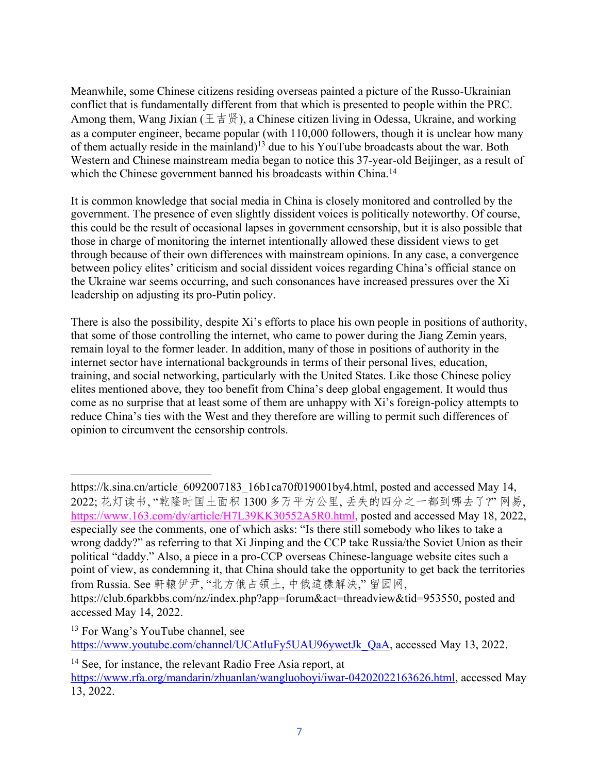Meanwhile, some Chinese citizens residing overseas painted a picture of the Russo-Ukrainian conflict that is fundamentally different from that which is presented to people within the PRC. Among them, Wang Jixian ( $\pm \pm \frac{16}{3}$ ), a Chinese citizen living in Odessa, Ukraine, and working as a computer engineer, became popular (with 110,000 followers, though it is unclear how many of them actually reside in the mainland)13 due to his YouTube broadcasts about the war. Both Western and Chinese mainstream media began to notice this 37-year-old Beijinger, as a result of which the Chinese government banned his broadcasts within China.<sup>14</sup>

It is common knowledge that social media in China is closely monitored and controlled by the government. The presence of even slightly dissident voices is politically noteworthy. Of course, this could be the result of occasional lapses in government censorship, but it is also possible that those in charge of monitoring the internet intentionally allowed these dissident views to get through because of their own differences with mainstream opinions. In any case, a convergence between policy elites' criticism and social dissident voices regarding China's official stance on the Ukraine war seems occurring, and such consonances have increased pressures over the Xi leadership on adjusting its pro-Putin policy.

There is also the possibility, despite Xi's efforts to place his own people in positions of authority, that some of those controlling the internet, who came to power during the Jiang Zemin years, remain loyal to the former leader. In addition, many of those in positions of authority in the internet sector have international backgrounds in terms of their personal lives, education, training, and social networking, particularly with the United States. Like those Chinese policy elites mentioned above, they too benefit from China's deep global engagement. It would thus come as no surprise that at least some of them are unhappy with Xi's foreign-policy attempts to reduce China's ties with the West and they therefore are willing to permit such differences of opinion to circumvent the censorship controls.

<sup>13</sup> For Wang's YouTube channel, see https://www.youtube.com/channel/UCAtIuFy5UAU96ywetJk\_QaA, accessed May 13, 2022.

https://k.sina.cn/article 6092007183 16b1ca70f019001by4.html, posted and accessed May 14, 2022; 花灯读书, "乾隆时国土面积1300 多万平方公里, 丢失的四分之一都到哪去了?" 网易, https://www.163.com/dy/article/H7L39KK30552A5R0.html, posted and accessed May 18, 2022, especially see the comments, one of which asks: "Is there still somebody who likes to take a wrong daddy?" as referring to that Xi Jinping and the CCP take Russia/the Soviet Union as their political "daddy." Also, a piece in a pro-CCP overseas Chinese-language website cites such a point of view, as condemning it, that China should take the opportunity to get back the territories from Russia. See 軒轅伊尹, "北方俄占領土, 中俄這樣解決," 留园网,

https://club.6parkbbs.com/nz/index.php?app=forum&act=threadview&tid=953550, posted and accessed May 14, 2022.

<sup>&</sup>lt;sup>14</sup> See, for instance, the relevant Radio Free Asia report, at

https://www.rfa.org/mandarin/zhuanlan/wangluoboyi/iwar-04202022163626.html, accessed May 13, 2022.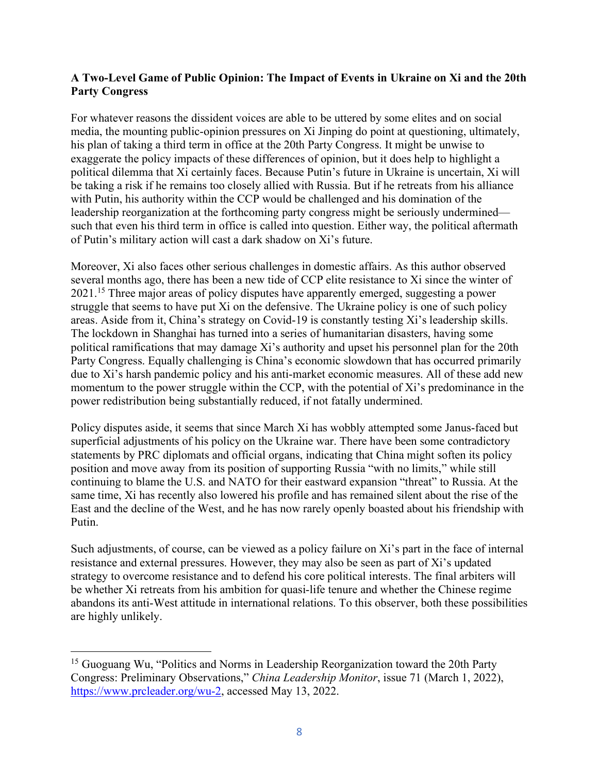# **A Two-Level Game of Public Opinion: The Impact of Events in Ukraine on Xi and the 20th Party Congress**

For whatever reasons the dissident voices are able to be uttered by some elites and on social media, the mounting public-opinion pressures on Xi Jinping do point at questioning, ultimately, his plan of taking a third term in office at the 20th Party Congress. It might be unwise to exaggerate the policy impacts of these differences of opinion, but it does help to highlight a political dilemma that Xi certainly faces. Because Putin's future in Ukraine is uncertain, Xi will be taking a risk if he remains too closely allied with Russia. But if he retreats from his alliance with Putin, his authority within the CCP would be challenged and his domination of the leadership reorganization at the forthcoming party congress might be seriously undermined such that even his third term in office is called into question. Either way, the political aftermath of Putin's military action will cast a dark shadow on Xi's future.

Moreover, Xi also faces other serious challenges in domestic affairs. As this author observed several months ago, there has been a new tide of CCP elite resistance to Xi since the winter of 2021.15 Three major areas of policy disputes have apparently emerged, suggesting a power struggle that seems to have put Xi on the defensive. The Ukraine policy is one of such policy areas. Aside from it, China's strategy on Covid-19 is constantly testing Xi's leadership skills. The lockdown in Shanghai has turned into a series of humanitarian disasters, having some political ramifications that may damage Xi's authority and upset his personnel plan for the 20th Party Congress. Equally challenging is China's economic slowdown that has occurred primarily due to Xi's harsh pandemic policy and his anti-market economic measures. All of these add new momentum to the power struggle within the CCP, with the potential of Xi's predominance in the power redistribution being substantially reduced, if not fatally undermined.

Policy disputes aside, it seems that since March Xi has wobbly attempted some Janus-faced but superficial adjustments of his policy on the Ukraine war. There have been some contradictory statements by PRC diplomats and official organs, indicating that China might soften its policy position and move away from its position of supporting Russia "with no limits," while still continuing to blame the U.S. and NATO for their eastward expansion "threat" to Russia. At the same time, Xi has recently also lowered his profile and has remained silent about the rise of the East and the decline of the West, and he has now rarely openly boasted about his friendship with Putin.

Such adjustments, of course, can be viewed as a policy failure on Xi's part in the face of internal resistance and external pressures. However, they may also be seen as part of Xi's updated strategy to overcome resistance and to defend his core political interests. The final arbiters will be whether Xi retreats from his ambition for quasi-life tenure and whether the Chinese regime abandons its anti-West attitude in international relations. To this observer, both these possibilities are highly unlikely.

<sup>&</sup>lt;sup>15</sup> Guoguang Wu, "Politics and Norms in Leadership Reorganization toward the 20th Party Congress: Preliminary Observations," *China Leadership Monitor*, issue 71 (March 1, 2022), https://www.prcleader.org/wu-2, accessed May 13, 2022.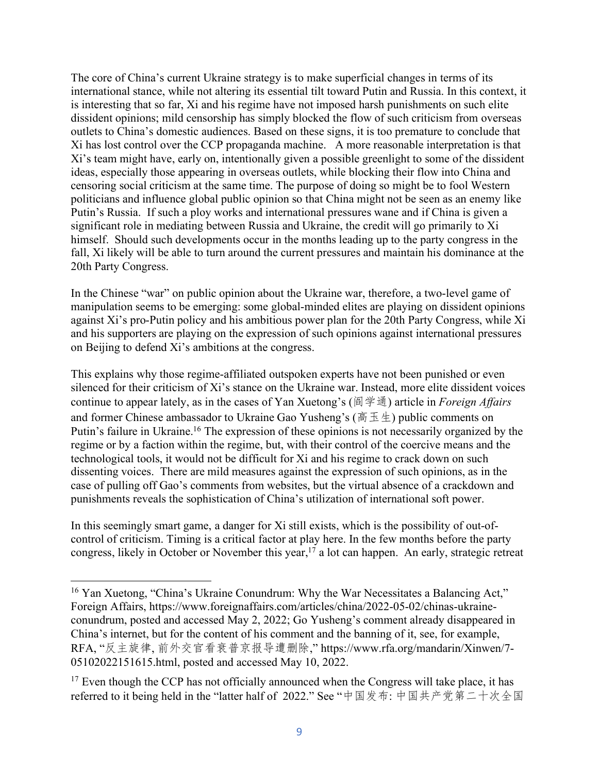The core of China's current Ukraine strategy is to make superficial changes in terms of its international stance, while not altering its essential tilt toward Putin and Russia. In this context, it is interesting that so far, Xi and his regime have not imposed harsh punishments on such elite dissident opinions; mild censorship has simply blocked the flow of such criticism from overseas outlets to China's domestic audiences. Based on these signs, it is too premature to conclude that Xi has lost control over the CCP propaganda machine. A more reasonable interpretation is that Xi's team might have, early on, intentionally given a possible greenlight to some of the dissident ideas, especially those appearing in overseas outlets, while blocking their flow into China and censoring social criticism at the same time. The purpose of doing so might be to fool Western politicians and influence global public opinion so that China might not be seen as an enemy like Putin's Russia. If such a ploy works and international pressures wane and if China is given a significant role in mediating between Russia and Ukraine, the credit will go primarily to Xi himself. Should such developments occur in the months leading up to the party congress in the fall, Xi likely will be able to turn around the current pressures and maintain his dominance at the 20th Party Congress.

In the Chinese "war" on public opinion about the Ukraine war, therefore, a two-level game of manipulation seems to be emerging: some global-minded elites are playing on dissident opinions against Xi's pro-Putin policy and his ambitious power plan for the 20th Party Congress, while Xi and his supporters are playing on the expression of such opinions against international pressures on Beijing to defend Xi's ambitions at the congress.

This explains why those regime-affiliated outspoken experts have not been punished or even silenced for their criticism of Xi's stance on the Ukraine war. Instead, more elite dissident voices continue to appear lately, as in the cases of Yan Xuetong's (阎学通) article in *Foreign Affairs* and former Chinese ambassador to Ukraine Gao Yusheng's ( $\overline{a} \pm \pm$ ) public comments on Putin's failure in Ukraine.16 The expression of these opinions is not necessarily organized by the regime or by a faction within the regime, but, with their control of the coercive means and the technological tools, it would not be difficult for Xi and his regime to crack down on such dissenting voices. There are mild measures against the expression of such opinions, as in the case of pulling off Gao's comments from websites, but the virtual absence of a crackdown and punishments reveals the sophistication of China's utilization of international soft power.

In this seemingly smart game, a danger for Xi still exists, which is the possibility of out-ofcontrol of criticism. Timing is a critical factor at play here. In the few months before the party congress, likely in October or November this year,<sup>17</sup> a lot can happen. An early, strategic retreat

<sup>&</sup>lt;sup>16</sup> Yan Xuetong, "China's Ukraine Conundrum: Why the War Necessitates a Balancing Act," Foreign Affairs, https://www.foreignaffairs.com/articles/china/2022-05-02/chinas-ukraineconundrum, posted and accessed May 2, 2022; Go Yusheng's comment already disappeared in China's internet, but for the content of his comment and the banning of it, see, for example, RFA, "反主旋律, 前外交官看衰普京报导遭删除," https://www.rfa.org/mandarin/Xinwen/7-05102022151615.html, posted and accessed May 10, 2022.

 $17$  Even though the CCP has not officially announced when the Congress will take place, it has referred to it being held in the "latter half of 2022." See "中国发布: 中国共产党第二十次全国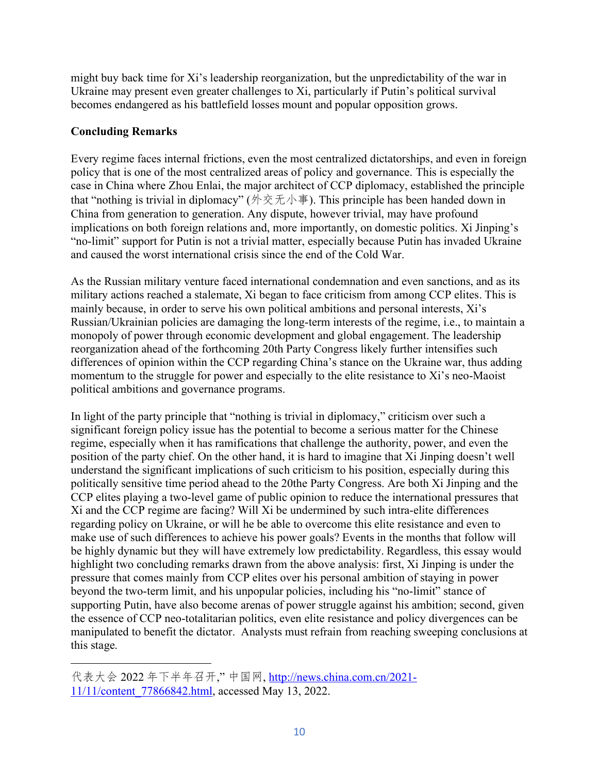might buy back time for Xi's leadership reorganization, but the unpredictability of the war in Ukraine may present even greater challenges to Xi, particularly if Putin's political survival becomes endangered as his battlefield losses mount and popular opposition grows.

# **Concluding Remarks**

Every regime faces internal frictions, even the most centralized dictatorships, and even in foreign policy that is one of the most centralized areas of policy and governance. This is especially the case in China where Zhou Enlai, the major architect of CCP diplomacy, established the principle that "nothing is trivial in diplomacy" (外交无小事). This principle has been handed down in China from generation to generation. Any dispute, however trivial, may have profound implications on both foreign relations and, more importantly, on domestic politics. Xi Jinping's "no-limit" support for Putin is not a trivial matter, especially because Putin has invaded Ukraine and caused the worst international crisis since the end of the Cold War.

As the Russian military venture faced international condemnation and even sanctions, and as its military actions reached a stalemate, Xi began to face criticism from among CCP elites. This is mainly because, in order to serve his own political ambitions and personal interests, Xi's Russian/Ukrainian policies are damaging the long-term interests of the regime, i.e., to maintain a monopoly of power through economic development and global engagement. The leadership reorganization ahead of the forthcoming 20th Party Congress likely further intensifies such differences of opinion within the CCP regarding China's stance on the Ukraine war, thus adding momentum to the struggle for power and especially to the elite resistance to Xi's neo-Maoist political ambitions and governance programs.

In light of the party principle that "nothing is trivial in diplomacy," criticism over such a significant foreign policy issue has the potential to become a serious matter for the Chinese regime, especially when it has ramifications that challenge the authority, power, and even the position of the party chief. On the other hand, it is hard to imagine that Xi Jinping doesn't well understand the significant implications of such criticism to his position, especially during this politically sensitive time period ahead to the 20the Party Congress. Are both Xi Jinping and the CCP elites playing a two-level game of public opinion to reduce the international pressures that Xi and the CCP regime are facing? Will Xi be undermined by such intra-elite differences regarding policy on Ukraine, or will he be able to overcome this elite resistance and even to make use of such differences to achieve his power goals? Events in the months that follow will be highly dynamic but they will have extremely low predictability. Regardless, this essay would highlight two concluding remarks drawn from the above analysis: first, Xi Jinping is under the pressure that comes mainly from CCP elites over his personal ambition of staying in power beyond the two-term limit, and his unpopular policies, including his "no-limit" stance of supporting Putin, have also become arenas of power struggle against his ambition; second, given the essence of CCP neo-totalitarian politics, even elite resistance and policy divergences can be manipulated to benefit the dictator. Analysts must refrain from reaching sweeping conclusions at this stage.

代表大会 2022 年下半年召开," 中国网, http://news.china.com.cn/2021-11/11/content\_77866842.html, accessed May 13, 2022.